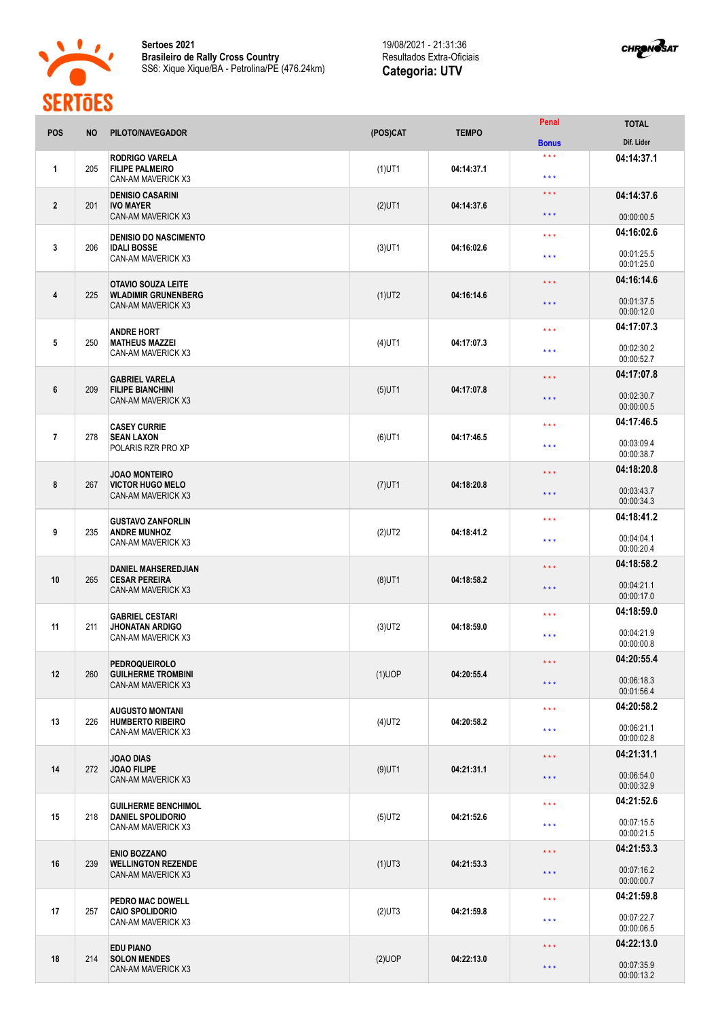

**Sertoes 2021 Brasileiro de Rally Cross Country** SS6: Xique Xique/BA - Petrolina/PE (476.24km)

## 19/08/2021 - 21:31:36 Resultados Extra-Oficiais **Categoria: UTV**



| <b>POS</b>     | <b>NO</b> | PILOTO/NAVEGADOR                                                         | (POS)CAT  | <b>TEMPO</b> | Penal                        | <b>TOTAL</b>             |
|----------------|-----------|--------------------------------------------------------------------------|-----------|--------------|------------------------------|--------------------------|
|                |           |                                                                          |           |              | <b>Bonus</b>                 | Dif. Lider               |
| 1              | 205       | <b>RODRIGO VARELA</b><br><b>FILIPE PALMEIRO</b><br>CAN-AM MAVERICK X3    | $(1)$ UT1 | 04:14:37.1   | $\star \star \star$<br>$***$ | 04:14:37.1               |
| $\mathbf{2}$   | 201       | <b>DENISIO CASARINI</b><br><b>IVO MAYER</b><br><b>CAN-AM MAVERICK X3</b> | $(2)$ UT1 | 04:14:37.6   | * * *<br>* * *               | 04:14:37.6<br>00:00:00.5 |
|                |           | <b>DENISIO DO NASCIMENTO</b>                                             |           |              | $\star \star \star$          | 04:16:02.6               |
| $\mathbf{3}$   | 206       | <b>IDALI BOSSE</b><br>CAN-AM MAVERICK X3                                 | $(3)$ UT1 | 04:16:02.6   | * * *                        | 00:01:25.5<br>00:01:25.0 |
|                |           | <b>OTAVIO SOUZA LEITE</b>                                                |           |              | $\star \star \star$          | 04:16:14.6               |
| 4              | 225       | <b>WLADIMIR GRUNENBERG</b><br><b>CAN-AM MAVERICK X3</b>                  | $(1)$ UT2 | 04:16:14.6   | $\star \star \star$          | 00:01:37.5<br>00:00:12.0 |
|                |           | <b>ANDRE HORT</b>                                                        |           |              | * * *                        | 04:17:07.3               |
| 5              | 250       | <b>MATHEUS MAZZEI</b><br>CAN-AM MAVERICK X3                              | $(4)$ UT1 | 04:17:07.3   | $***$                        | 00:02:30.2<br>00:00:52.7 |
|                |           | <b>GABRIEL VARELA</b>                                                    |           |              | * * *                        | 04:17:07.8               |
| 6              | 209       | <b>FILIPE BIANCHINI</b><br>CAN-AM MAVERICK X3                            | $(5)$ UT1 | 04:17:07.8   | * * *                        | 00:02:30.7<br>00:00:00.5 |
|                |           | <b>CASEY CURRIE</b>                                                      |           |              | * * *                        | 04:17:46.5               |
| $\overline{7}$ | 278       | <b>SEAN LAXON</b><br>POLARIS RZR PRO XP                                  | $(6)$ UT1 | 04:17:46.5   | $***$                        | 00:03:09.4<br>00:00:38.7 |
|                |           | <b>JOAO MONTEIRO</b>                                                     |           |              | $\star \star \star$          | 04:18:20.8               |
| 8              | 267       | <b>VICTOR HUGO MELO</b><br><b>CAN-AM MAVERICK X3</b>                     | $(7)$ UT1 | 04:18:20.8   | $\star \star \star$          | 00:03:43.7<br>00:00:34.3 |
|                |           | <b>GUSTAVO ZANFORLIN</b>                                                 |           |              | $\star \star \star$          | 04:18:41.2               |
| 9              | 235       | <b>ANDRE MUNHOZ</b><br>CAN-AM MAVERICK X3                                | $(2)$ UT2 | 04:18:41.2   | * * *                        | 00:04:04.1<br>00:00:20.4 |
|                |           | <b>DANIEL MAHSEREDJIAN</b>                                               |           |              | $\star \star \star$          | 04:18:58.2               |
| 10             | 265       | <b>CESAR PEREIRA</b><br>CAN-AM MAVERICK X3                               | $(8)$ UT1 | 04:18:58.2   | $\star \star \star$          | 00:04:21.1<br>00:00:17.0 |
|                |           | <b>GABRIEL CESTARI</b>                                                   |           |              | $***$                        | 04:18:59.0               |
| 11             | 211       | <b>JHONATAN ARDIGO</b><br>CAN-AM MAVERICK X3                             | $(3)$ UT2 | 04:18:59.0   | $***$                        | 00:04:21.9<br>00:00:00.8 |
|                |           | <b>PEDROQUEIROLO</b>                                                     |           |              | $\star\star\star$            | 04:20:55.4               |
| 12             | 260       | <b>GUILHERME TROMBINI</b><br>CAN-AM MAVERICK X3                          | $(1)$ UOP | 04:20:55.4   | $\star \star \star$          | 00:06:18.3<br>00:01:56.4 |
|                |           | <b>AUGUSTO MONTANI</b>                                                   |           |              | $\star$ $\star$ $\star$      | 04:20:58.2               |
| 13             | 226       | <b>HUMBERTO RIBEIRO</b><br>CAN-AM MAVERICK X3                            | $(4)$ UT2 | 04:20:58.2   | $***$                        | 00:06:21.1<br>00:00:02.8 |
|                |           | <b>JOAO DIAS</b>                                                         |           |              | $\star\star\star$            | 04:21:31.1               |
| 14             | 272       | <b>JOAO FILIPE</b><br>CAN-AM MAVERICK X3                                 | $(9)$ UT1 | 04:21:31.1   | $\star$ $\star$ $\star$      | 00:06:54.0<br>00:00:32.9 |
|                |           | <b>GUILHERME BENCHIMOL</b>                                               |           |              | $\star \star \star$          | 04:21:52.6               |
| 15             | 218       | <b>DANIEL SPOLIDORIO</b><br>CAN-AM MAVERICK X3                           | $(5)$ UT2 | 04:21:52.6   | $\star$ $\star$ $\star$      | 00:07:15.5<br>00:00:21.5 |
|                |           | <b>ENIO BOZZANO</b>                                                      |           |              | $\star\star\star$            | 04:21:53.3               |
| 16             | 239       | <b>WELLINGTON REZENDE</b><br>CAN-AM MAVERICK X3                          | $(1)$ UT3 | 04:21:53.3   | * * *                        | 00:07:16.2<br>00:00:00.7 |
|                |           | PEDRO MAC DOWELL                                                         |           |              | $\star$ $\star$ $\star$      | 04:21:59.8               |
| 17             | 257       | <b>CAIO SPOLIDORIO</b><br>CAN-AM MAVERICK X3                             | $(2)$ UT3 | 04:21:59.8   | * * *                        | 00:07:22.7<br>00:00:06.5 |
|                |           | <b>EDU PIANO</b>                                                         |           |              | $\star\star\star$            | 04:22:13.0               |
| 18             | 214       | <b>SOLON MENDES</b><br>CAN-AM MAVERICK X3                                | $(2)$ UOP | 04:22:13.0   | $\star$ $\star$ $\star$      | 00:07:35.9<br>00:00:13.2 |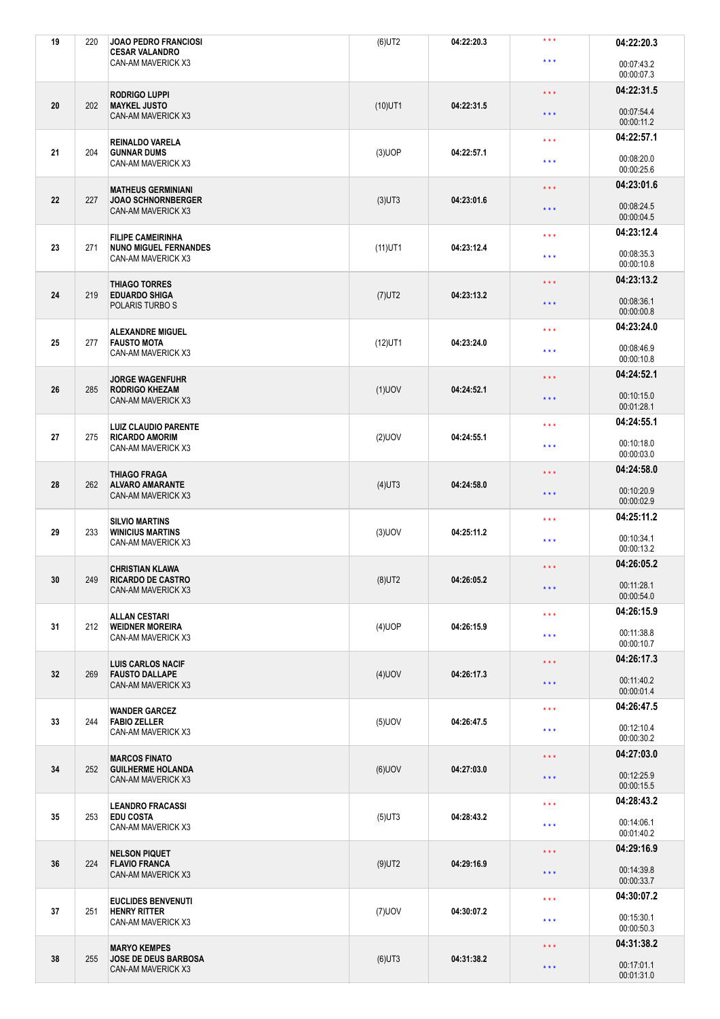| 19 | 220 | <b>JOAO PEDRO FRANCIOSI</b><br><b>CESAR VALANDRO</b>  | $(6)$ UT2  | 04:22:20.3 | $***$                   | 04:22:20.3               |
|----|-----|-------------------------------------------------------|------------|------------|-------------------------|--------------------------|
|    |     | CAN-AM MAVERICK X3                                    |            |            | $\star \star \star$     | 00:07:43.2<br>00:00:07.3 |
|    |     | <b>RODRIGO LUPPI</b>                                  |            |            | $\star \star \star$     | 04:22:31.5               |
| 20 | 202 | <b>MAYKEL JUSTO</b><br>CAN-AM MAVERICK X3             | $(10)$ UT1 | 04:22:31.5 | $\star$ $\star$ $\star$ | 00:07:54.4<br>00:00:11.2 |
|    |     | REINALDO VARELA                                       |            |            | $\star\star\star$       | 04:22:57.1               |
| 21 | 204 | <b>GUNNAR DUMS</b><br>CAN-AM MAVERICK X3              | $(3)$ UOP  | 04:22:57.1 | $\star \star \star$     | 00:08:20.0<br>00:00:25.6 |
|    |     | <b>MATHEUS GERMINIANI</b>                             |            |            | $\star$ $\star$ $\star$ | 04:23:01.6               |
| 22 | 227 | <b>JOAO SCHNORNBERGER</b><br>CAN-AM MAVERICK X3       | $(3)$ UT3  | 04:23:01.6 | $\star \star \star$     | 00:08:24.5<br>00:00:04.5 |
|    |     | <b>FILIPE CAMEIRINHA</b>                              |            |            | $\star \star \star$     | 04:23:12.4               |
| 23 | 271 | <b>NUNO MIGUEL FERNANDES</b><br>CAN-AM MAVERICK X3    | $(11)$ UT1 | 04:23:12.4 | $\star$ $\star$ $\star$ | 00:08:35.3<br>00:00:10.8 |
|    |     | <b>THIAGO TORRES</b>                                  |            |            | $\star \star \star$     | 04:23:13.2               |
| 24 | 219 | <b>EDUARDO SHIGA</b><br>POLARIS TURBO S               | $(7)$ UT2  | 04:23:13.2 | $\star \star \star$     | 00:08:36.1<br>00:00:00.8 |
|    |     | <b>ALEXANDRE MIGUEL</b>                               |            |            | $\star\star\star$       | 04:23:24.0               |
| 25 | 277 | <b>FAUSTO MOTA</b><br>CAN-AM MAVERICK X3              | $(12)$ UT1 | 04:23:24.0 | $\star \star \star$     | 00:08:46.9<br>00:00:10.8 |
|    |     | <b>JORGE WAGENFUHR</b>                                |            |            | $\star$ $\star$ $\star$ | 04:24:52.1               |
| 26 | 285 | <b>RODRIGO KHEZAM</b><br>CAN-AM MAVERICK X3           | $(1)$ UOV  | 04:24:52.1 | $\star \star \star$     | 00:10:15.0<br>00:01:28.1 |
|    |     | <b>LUIZ CLAUDIO PARENTE</b>                           |            |            | $\star \star \star$     | 04:24:55.1               |
| 27 | 275 | <b>RICARDO AMORIM</b><br>CAN-AM MAVERICK X3           | $(2)$ UOV  | 04:24:55.1 | $\star \star \star$     | 00:10:18.0<br>00:00:03.0 |
|    |     | <b>THIAGO FRAGA</b>                                   |            |            | $\star\star\star$       | 04:24:58.0               |
| 28 | 262 | <b>ALVARO AMARANTE</b><br>CAN-AM MAVERICK X3          | $(4)$ UT3  | 04:24:58.0 | $\star \star \star$     | 00:10:20.9<br>00:00:02.9 |
|    |     | <b>SILVIO MARTINS</b>                                 |            |            | $\star \star \star$     | 04:25:11.2               |
| 29 | 233 | <b>WINICIUS MARTINS</b><br>CAN-AM MAVERICK X3         | $(3)$ UOV  | 04:25:11.2 | $\star$ $\star$ $\star$ | 00:10:34.1<br>00:00:13.2 |
|    |     | <b>CHRISTIAN KLAWA</b>                                |            |            | $\star$ $\star$ $\star$ | 04:26:05.2               |
| 30 | 249 | <b>RICARDO DE CASTRO</b><br><b>CAN-AM MAVERICK X3</b> | $(8)$ UT2  | 04:26:05.2 | $\star \star \star$     | 00:11:28.1<br>00:00:54.0 |
|    |     | ALLAN CESTARI                                         |            |            | $\star$ $\star$ $\star$ | 04:26:15.9               |
| 31 | 212 | <b>WEIDNER MOREIRA</b><br>CAN-AM MAVERICK X3          | $(4)$ UOP  | 04:26:15.9 | $\star$ $\star$ $\star$ | 00:11:38.8<br>00:00:10.7 |
|    |     | <b>LUIS CARLOS NACIF</b>                              |            |            | $\star$ $\star$ $\star$ | 04:26:17.3               |
| 32 | 269 | <b>FAUSTO DALLAPE</b><br>CAN-AM MAVERICK X3           | $(4)$ UOV  | 04:26:17.3 | $***$                   | 00:11:40.2<br>00:00:01.4 |
|    |     | <b>WANDER GARCEZ</b>                                  |            |            | $\star$ $\star$ $\star$ | 04:26:47.5               |
| 33 | 244 | <b>FABIO ZELLER</b><br>CAN-AM MAVERICK X3             | $(5)$ UOV  | 04:26:47.5 | $\star$ $\star$ $\star$ | 00:12:10.4<br>00:00:30.2 |
|    |     | <b>MARCOS FINATO</b>                                  |            |            | $\star$ $\star$ $\star$ | 04:27:03.0               |
| 34 | 252 | <b>GUILHERME HOLANDA</b><br>CAN-AM MAVERICK X3        | $(6)$ UOV  | 04:27:03.0 | $\star$ $\star$ $\star$ | 00:12:25.9<br>00:00:15.5 |
|    |     | <b>LEANDRO FRACASSI</b>                               |            |            | $\star$ $\star$ $\star$ | 04:28:43.2               |
| 35 | 253 | <b>EDU COSTA</b><br>CAN-AM MAVERICK X3                | $(5)$ UT3  | 04:28:43.2 | $\star\star\star$       | 00:14:06.1<br>00:01:40.2 |
|    |     | <b>NELSON PIQUET</b>                                  |            |            | $\star\star\star$       | 04:29:16.9               |
| 36 | 224 | <b>FLAVIO FRANCA</b><br>CAN-AM MAVERICK X3            | $(9)$ UT2  | 04:29:16.9 | $\star$ $\star$ $\star$ | 00:14:39.8<br>00:00:33.7 |
|    |     | <b>EUCLIDES BENVENUTI</b>                             |            |            | $\star \star \star$     | 04:30:07.2               |
| 37 | 251 | <b>HENRY RITTER</b><br>CAN-AM MAVERICK X3             | $(7)$ UOV  | 04:30:07.2 | $\star\star\star$       | 00:15:30.1<br>00:00:50.3 |
|    |     | <b>MARYO KEMPES</b>                                   |            |            | $\star \star \star$     | 04:31:38.2               |
| 38 | 255 | JOSE DE DEUS BARBOSA<br><b>CAN-AM MAVERICK X3</b>     | $(6)$ UT3  | 04:31:38.2 | $\star$ $\star$ $\star$ | 00:17:01.1<br>00:01:31.0 |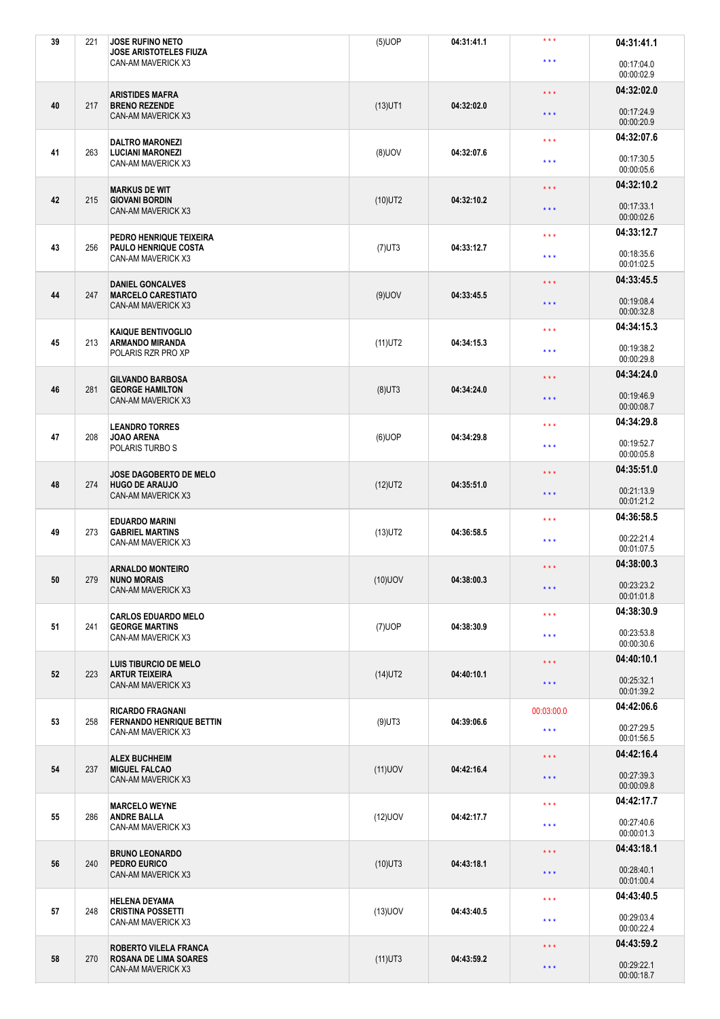| 39 | 221 | <b>JOSE RUFINO NETO</b><br><b>JOSE ARISTOTELES FIUZA</b>    | $(5)$ UOP  | 04:31:41.1              | $***$                   | 04:31:41.1               |
|----|-----|-------------------------------------------------------------|------------|-------------------------|-------------------------|--------------------------|
|    |     | CAN-AM MAVERICK X3                                          |            |                         | $* * *$                 | 00:17:04.0<br>00:00:02.9 |
|    |     | <b>ARISTIDES MAFRA</b>                                      |            |                         | $\star$ $\star$ $\star$ | 04:32:02.0               |
| 40 | 217 | <b>BRENO REZENDE</b><br><b>CAN-AM MAVERICK X3</b>           | $(13)$ UT1 | 04:32:02.0              | $\star$ $\star$ $\star$ | 00:17:24.9<br>00:00:20.9 |
|    |     | <b>DALTRO MARONEZI</b>                                      |            |                         | $\star$ $\star$ $\star$ | 04:32:07.6               |
| 41 | 263 | <b>LUCIANI MARONEZI</b><br>CAN-AM MAVERICK X3               | $(8)$ UOV  | 04:32:07.6              | $\star \star \star$     | 00:17:30.5<br>00:00:05.6 |
|    |     | <b>MARKUS DE WIT</b>                                        |            |                         | $\star$ $\star$ $\star$ | 04:32:10.2               |
| 42 | 215 | <b>GIOVANI BORDIN</b><br>CAN-AM MAVERICK X3                 | $(10)$ UT2 | 04:32:10.2              | $\star$ $\star$ $\star$ | 00:17:33.1<br>00:00:02.6 |
|    |     | PEDRO HENRIQUE TEIXEIRA                                     |            |                         | $\star \star \star$     | 04:33:12.7               |
| 43 | 256 | PAULO HENRIQUE COSTA<br>CAN-AM MAVERICK X3                  | $(7)$ UT3  | 04:33:12.7              | $\star \star \star$     | 00:18:35.6<br>00:01:02.5 |
| 44 | 247 | <b>DANIEL GONCALVES</b>                                     |            |                         | $\star$ $\star$ $\star$ | 04:33:45.5               |
|    |     | <b>MARCELO CARESTIATO</b><br><b>CAN-AM MAVERICK X3</b>      | $(9)$ UOV  | 04:33:45.5              | $\star$ $\star$ $\star$ | 00:19:08.4<br>00:00:32.8 |
|    |     | <b>KAIQUE BENTIVOGLIO</b>                                   |            |                         | $\star \star \star$     | 04:34:15.3               |
| 45 | 213 | <b>ARMANDO MIRANDA</b><br>POLARIS RZR PRO XP                | $(11)$ UT2 | 04:34:15.3              | $\star \star \star$     | 00:19:38.2<br>00:00:29.8 |
|    |     | <b>GILVANDO BARBOSA</b>                                     |            |                         | $\star$ $\star$ $\star$ | 04:34:24.0               |
| 46 | 281 | <b>GEORGE HAMILTON</b><br>CAN-AM MAVERICK X3                | $(8)$ UT3  | 04:34:24.0              | $\star \star \star$     | 00:19:46.9<br>00:00:08.7 |
|    |     | <b>LEANDRO TORRES</b>                                       |            |                         | $\star \star \star$     | 04:34:29.8               |
| 47 | 208 | <b>JOAO ARENA</b><br>POLARIS TURBO S                        | $(6)$ UOP  | 04:34:29.8              | $***$                   | 00:19:52.7<br>00:00:05.8 |
|    |     | JOSE DAGOBERTO DE MELO                                      |            |                         | $\star$ $\star$ $\star$ | 04:35:51.0               |
| 48 | 274 | <b>HUGO DE ARAUJO</b><br><b>CAN-AM MAVERICK X3</b>          | $(12)$ UT2 | 04:35:51.0              | $\star \star \star$     | 00:21:13.9<br>00:01:21.2 |
|    |     | <b>EDUARDO MARINI</b>                                       |            | $\star$ $\star$ $\star$ | 04:36:58.5              |                          |
| 49 | 273 | <b>GABRIEL MARTINS</b><br>CAN-AM MAVERICK X3                | $(13)$ UT2 | 04:36:58.5              | $\star \star \star$     | 00:22:21.4<br>00:01:07.5 |
|    |     | <b>ARNALDO MONTEIRO</b>                                     |            |                         | $\star\star\star$       | 04:38:00.3               |
| 50 | 279 | <b>NUNO MORAIS</b><br><b>CAN-AM MAVERICK X3</b>             | $(10)$ UOV | 04:38:00.3              | $***$                   | 00:23:23.2<br>00:01:01.8 |
|    |     | <b>CARLOS EDUARDO MELO</b>                                  |            |                         | $\star \star \star$     | 04:38:30.9               |
| 51 | 241 | <b>GEORGE MARTINS</b><br>CAN-AM MAVERICK X3                 | $(7)$ UOP  | 04:38:30.9              | $\star \star \star$     | 00:23:53.8<br>00:00:30.6 |
|    |     | <b>LUIS TIBURCIO DE MELO</b>                                |            |                         | $\star\star\star$       | 04:40:10.1               |
| 52 | 223 | <b>ARTUR TEIXEIRA</b><br><b>CAN-AM MAVERICK X3</b>          | $(14)$ UT2 | 04:40:10.1              | $\star$ $\star$ $\star$ | 00:25:32.1<br>00:01:39.2 |
|    |     | <b>RICARDO FRAGNANI</b>                                     |            |                         | 00:03:00.0              | 04:42:06.6               |
| 53 | 258 | <b>FERNANDO HENRIQUE BETTIN</b><br>CAN-AM MAVERICK X3       | $(9)$ UT3  | 04:39:06.6              | $\star \star \star$     | 00:27:29.5<br>00:01:56.5 |
|    |     | <b>ALEX BUCHHEIM</b>                                        |            |                         | $\star\star\star$       | 04:42:16.4               |
| 54 | 237 | <b>MIGUEL FALCAO</b><br>CAN-AM MAVERICK X3                  | $(11)$ UOV | 04:42:16.4              | $\star$ $\star$ $\star$ | 00:27:39.3<br>00:00:09.8 |
|    |     | <b>MARCELO WEYNE</b>                                        |            |                         | $\star \star \star$     | 04:42:17.7               |
| 55 | 286 | <b>ANDRE BALLA</b><br>CAN-AM MAVERICK X3                    | $(12)$ UOV | 04:42:17.7              | $\star\star\star$       | 00:27:40.6<br>00:00:01.3 |
|    |     | <b>BRUNO LEONARDO</b><br>PEDRO EURICO<br>CAN-AM MAVERICK X3 | $(10)$ UT3 | 04:43:18.1              | $\star$ $\star$ $\star$ | 04:43:18.1               |
| 56 | 240 |                                                             |            |                         | $***$                   | 00:28:40.1<br>00:01:00.4 |
|    |     | <b>HELENA DEYAMA</b>                                        |            |                         | $\star$ $\star$ $\star$ | 04:43:40.5               |
| 57 | 248 | <b>CRISTINA POSSETTI</b><br>CAN-AM MAVERICK X3              | $(13)$ UOV | 04:43:40.5              | $\star \star \star$     | 00:29:03.4<br>00:00:22.4 |
|    |     | <b>ROBERTO VILELA FRANCA</b>                                |            |                         | $\star\star\star$       | 04:43:59.2               |
| 58 | 270 | <b>ROSANA DE LIMA SOARES</b><br>CAN-AM MAVERICK X3          | $(11)$ UT3 | 04:43:59.2              | $\star$ $\star$ $\star$ | 00:29:22.1<br>00:00:18.7 |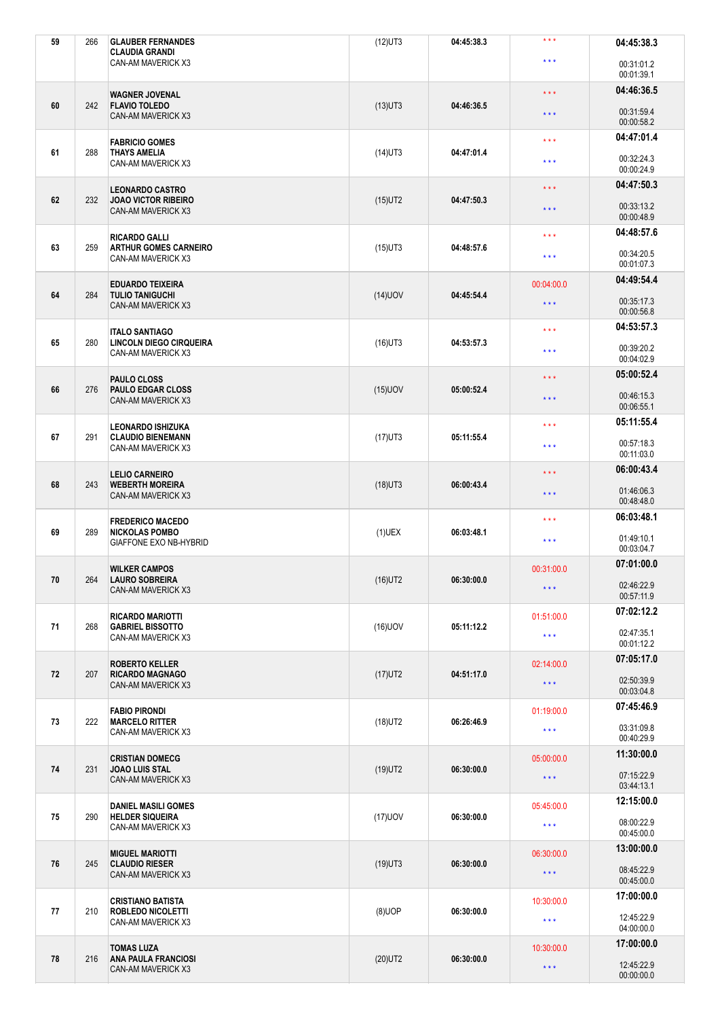| 59 | 266 | <b>GLAUBER FERNANDES</b><br><b>CLAUDIA GRANDI</b>       | $(12)$ UT3 | 04:45:38.3          | $***$                   | 04:45:38.3               |
|----|-----|---------------------------------------------------------|------------|---------------------|-------------------------|--------------------------|
|    |     | CAN-AM MAVERICK X3                                      |            |                     | $\star \star \star$     | 00:31:01.2<br>00:01:39.1 |
|    |     | <b>WAGNER JOVENAL</b>                                   |            |                     | $\star$ $\star$ $\star$ | 04:46:36.5               |
| 60 | 242 | <b>FLAVIO TOLEDO</b><br>CAN-AM MAVERICK X3              | $(13)$ UT3 | 04:46:36.5          | $\star\star\star$       | 00:31:59.4<br>00:00:58.2 |
|    |     | <b>FABRICIO GOMES</b>                                   |            |                     | $\star$ $\star$ $\star$ | 04:47:01.4               |
| 61 | 288 | <b>THAYS AMELIA</b><br>CAN-AM MAVERICK X3               | $(14)$ UT3 | 04:47:01.4          | $\star \star \star$     | 00:32:24.3<br>00:00:24.9 |
|    |     | <b>LEONARDO CASTRO</b>                                  |            |                     | $\star$ $\star$ $\star$ | 04:47:50.3               |
| 62 | 232 | <b>JOAO VICTOR RIBEIRO</b><br>CAN-AM MAVERICK X3        | $(15)$ UT2 | 04:47:50.3          | $\star$ $\star$ $\star$ | 00:33:13.2<br>00:00:48.9 |
| 63 | 259 | <b>RICARDO GALLI</b><br><b>ARTHUR GOMES CARNEIRO</b>    | $(15)$ UT3 | 04:48:57.6          | $\star \star \star$     | 04:48:57.6               |
|    |     | CAN-AM MAVERICK X3                                      |            |                     | $\star \star \star$     | 00:34:20.5<br>00:01:07.3 |
| 64 | 284 | <b>EDUARDO TEIXEIRA</b><br><b>TULIO TANIGUCHI</b>       | $(14)$ UOV | 04:45:54.4          | 00:04:00.0              | 04:49:54.4               |
|    |     | CAN-AM MAVERICK X3                                      |            |                     | $\star$ $\star$ $\star$ | 00:35:17.3<br>00:00:56.8 |
|    | 280 | <b>ITALO SANTIAGO</b><br><b>LINCOLN DIEGO CIRQUEIRA</b> |            |                     | $\star \star \star$     | 04:53:57.3               |
| 65 |     | CAN-AM MAVERICK X3                                      | $(16)$ UT3 | 04:53:57.3          | $\star \star \star$     | 00:39:20.2<br>00:04:02.9 |
|    |     | PAULO CLOSS                                             |            |                     | $\star$ $\star$ $\star$ | 05:00:52.4               |
| 66 | 276 | <b>PAULO EDGAR CLOSS</b><br>CAN-AM MAVERICK X3          | $(15)$ UOV | 05:00:52.4          | $\star$ $\star$ $\star$ | 00:46:15.3<br>00:06:55.1 |
|    |     | <b>LEONARDO ISHIZUKA</b>                                |            |                     | $\star \star \star$     | 05:11:55.4               |
| 67 | 291 | <b>CLAUDIO BIENEMANN</b><br>CAN-AM MAVERICK X3          | $(17)$ UT3 | 05:11:55.4          | $\star \star \star$     | 00:57:18.3<br>00:11:03.0 |
|    |     | <b>LELIO CARNEIRO</b>                                   |            |                     | $\star$ $\star$ $\star$ | 06:00:43.4               |
| 68 | 243 | <b>WEBERTH MOREIRA</b><br>CAN-AM MAVERICK X3            | $(18)$ UT3 | 06:00:43.4          | $\star$ $\star$ $\star$ | 01:46:06.3<br>00:48:48.0 |
|    |     | <b>FREDERICO MACEDO</b>                                 |            | $\star \star \star$ | 06:03:48.1              |                          |
|    |     |                                                         |            |                     |                         |                          |
| 69 | 289 | <b>NICKOLAS POMBO</b><br>GIAFFONE EXO NB-HYBRID         | $(1)$ UEX  | 06:03:48.1          | $\star\star\star$       | 01:49:10.1<br>00:03:04.7 |
|    |     | <b>WILKER CAMPOS</b>                                    |            |                     | 00:31:00.0              | 07:01:00.0               |
| 70 | 264 | <b>LAURO SOBREIRA</b><br>CAN-AM MAVERICK X3             | $(16)$ UT2 | 06:30:00.0          | $\star\star\star$       | 02:46:22.9<br>00:57:11.9 |
|    |     | <b>RICARDO MARIOTTI</b>                                 |            |                     | 01:51:00.0              | 07:02:12.2               |
| 71 | 268 | <b>GABRIEL BISSOTTO</b><br>CAN-AM MAVERICK X3           | $(16)$ UOV | 05:11:12.2          | $\star$ $\star$ $\star$ | 02:47:35.1<br>00:01:12.2 |
|    |     | <b>ROBERTO KELLER</b>                                   |            |                     | 02:14:00.0              | 07:05:17.0               |
| 72 | 207 | <b>RICARDO MAGNAGO</b><br>CAN-AM MAVERICK X3            | $(17)$ UT2 | 04:51:17.0          | $\star$ $\star$ $\star$ | 02:50:39.9<br>00:03:04.8 |
|    |     | <b>FABIO PIRONDI</b>                                    |            |                     | 01:19:00.0              | 07:45:46.9               |
| 73 | 222 | <b>MARCELO RITTER</b><br>CAN-AM MAVERICK X3             | $(18)$ UT2 | 06:26:46.9          | $\star\star\star$       | 03:31:09.8<br>00:40:29.9 |
|    |     | <b>CRISTIAN DOMECG</b>                                  |            |                     | 05:00:00.0              | 11:30:00.0               |
| 74 | 231 | <b>JOAO LUIS STAL</b><br>CAN-AM MAVERICK X3             | $(19)$ UT2 | 06:30:00.0          | $\star$ $\star$ $\star$ | 07:15:22.9<br>03:44:13.1 |
|    |     | <b>DANIEL MASILI GOMES</b>                              |            |                     | 05:45:00.0              | 12:15:00.0               |
| 75 | 290 | <b>HELDER SIQUEIRA</b><br>CAN-AM MAVERICK X3            | $(17)$ UOV | 06:30:00.0          | $\star\star\star$       | 08:00:22.9<br>00:45:00.0 |
|    |     | <b>MIGUEL MARIOTTI</b>                                  |            |                     | 06:30:00.0              | 13:00:00.0               |
| 76 | 245 | <b>CLAUDIO RIESER</b><br>CAN-AM MAVERICK X3             | $(19)$ UT3 | 06:30:00.0          | $\star\star\star$       | 08:45:22.9<br>00:45:00.0 |
|    |     | <b>CRISTIANO BATISTA</b>                                |            |                     | 10:30:00.0              | 17:00:00.0               |
| 77 | 210 | <b>ROBLEDO NICOLETTI</b><br>CAN-AM MAVERICK X3          | $(8)$ UOP  | 06:30:00.0          | $\star$ $\star$ $\star$ | 12:45:22.9<br>04:00:00.0 |
| 78 | 216 | <b>TOMAS LUZA</b><br><b>ANA PAULA FRANCIOSI</b>         | $(20)$ UT2 | 06:30:00.0          | 10:30:00.0              | 17:00:00.0               |